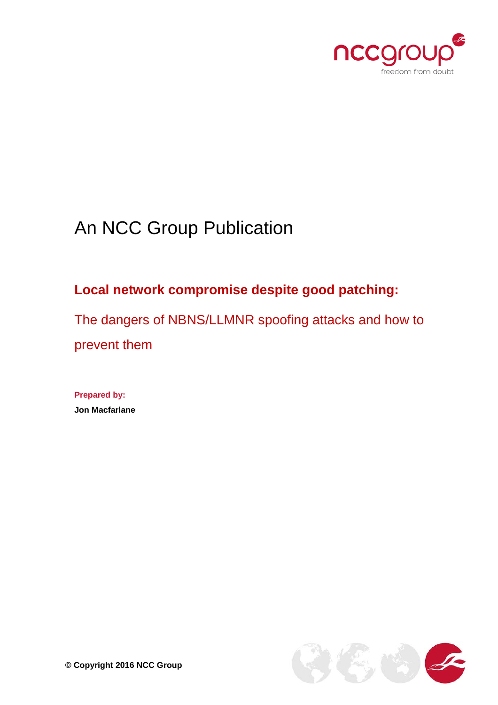

# An NCC Group Publication

## **Local network compromise despite good patching:**

The dangers of NBNS/LLMNR spoofing attacks and how to prevent them

**Prepared by: Jon Macfarlane**

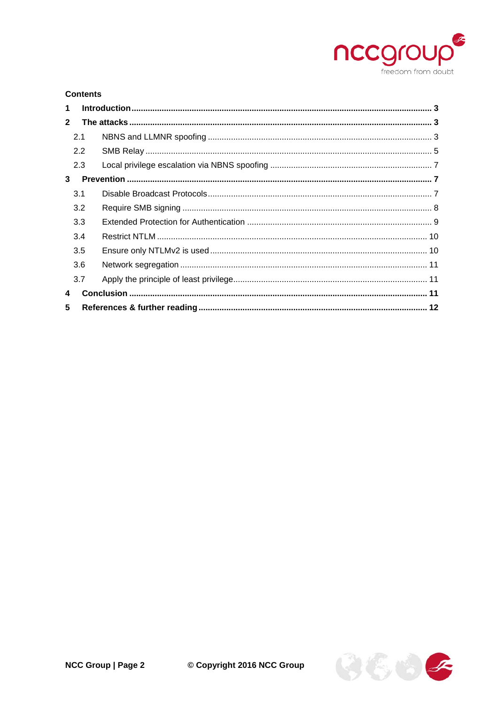

#### **Contents**

| $\mathbf 1$    |     |  |
|----------------|-----|--|
| 2 <sup>1</sup> |     |  |
|                | 2.1 |  |
|                | 2.2 |  |
|                | 2.3 |  |
| 3              |     |  |
|                | 3.1 |  |
|                | 3.2 |  |
|                | 3.3 |  |
|                | 3.4 |  |
|                | 3.5 |  |
|                | 3.6 |  |
|                | 3.7 |  |
| 4              |     |  |
| 5              |     |  |

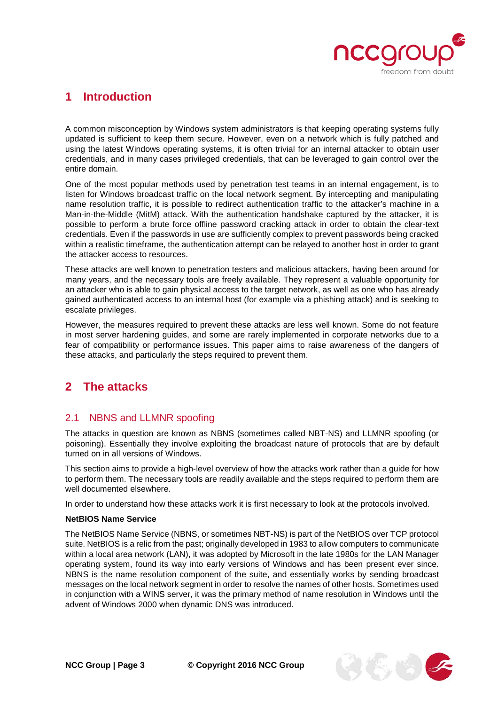

## <span id="page-2-0"></span>**1 Introduction**

A common misconception by Windows system administrators is that keeping operating systems fully updated is sufficient to keep them secure. However, even on a network which is fully patched and using the latest Windows operating systems, it is often trivial for an internal attacker to obtain user credentials, and in many cases privileged credentials, that can be leveraged to gain control over the entire domain.

One of the most popular methods used by penetration test teams in an internal engagement, is to listen for Windows broadcast traffic on the local network segment. By intercepting and manipulating name resolution traffic, it is possible to redirect authentication traffic to the attacker's machine in a Man-in-the-Middle (MitM) attack. With the authentication handshake captured by the attacker, it is possible to perform a brute force offline password cracking attack in order to obtain the clear-text credentials. Even if the passwords in use are sufficiently complex to prevent passwords being cracked within a realistic timeframe, the authentication attempt can be relayed to another host in order to grant the attacker access to resources.

These attacks are well known to penetration testers and malicious attackers, having been around for many years, and the necessary tools are freely available. They represent a valuable opportunity for an attacker who is able to gain physical access to the target network, as well as one who has already gained authenticated access to an internal host (for example via a phishing attack) and is seeking to escalate privileges.

However, the measures required to prevent these attacks are less well known. Some do not feature in most server hardening guides, and some are rarely implemented in corporate networks due to a fear of compatibility or performance issues. This paper aims to raise awareness of the dangers of these attacks, and particularly the steps required to prevent them.

## <span id="page-2-1"></span>**2 The attacks**

#### <span id="page-2-2"></span>2.1 NBNS and LLMNR spoofing

The attacks in question are known as NBNS (sometimes called NBT-NS) and LLMNR spoofing (or poisoning). Essentially they involve exploiting the broadcast nature of protocols that are by default turned on in all versions of Windows.

This section aims to provide a high-level overview of how the attacks work rather than a guide for how to perform them. The necessary tools are readily available and the steps required to perform them are well documented elsewhere.

In order to understand how these attacks work it is first necessary to look at the protocols involved.

#### **NetBIOS Name Service**

The NetBIOS Name Service (NBNS, or sometimes NBT-NS) is part of the NetBIOS over TCP protocol suite. NetBIOS is a relic from the past; originally developed in 1983 to allow computers to communicate within a local area network (LAN), it was adopted by Microsoft in the late 1980s for the LAN Manager operating system, found its way into early versions of Windows and has been present ever since. NBNS is the name resolution component of the suite, and essentially works by sending broadcast messages on the local network segment in order to resolve the names of other hosts. Sometimes used in conjunction with a WINS server, it was the primary method of name resolution in Windows until the advent of Windows 2000 when dynamic DNS was introduced.

**NCC Group | Page 3 © Copyright 2016 NCC Group**

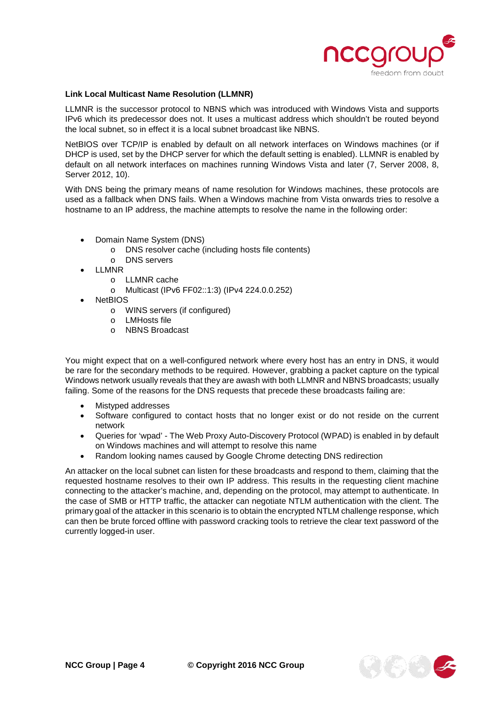

#### **Link Local Multicast Name Resolution (LLMNR)**

LLMNR is the successor protocol to NBNS which was introduced with Windows Vista and supports IPv6 which its predecessor does not. It uses a multicast address which shouldn't be routed beyond the local subnet, so in effect it is a local subnet broadcast like NBNS.

NetBIOS over TCP/IP is enabled by default on all network interfaces on Windows machines (or if DHCP is used, set by the DHCP server for which the default setting is enabled). LLMNR is enabled by default on all network interfaces on machines running Windows Vista and later (7, Server 2008, 8, Server 2012, 10).

With DNS being the primary means of name resolution for Windows machines, these protocols are used as a fallback when DNS fails. When a Windows machine from Vista onwards tries to resolve a hostname to an IP address, the machine attempts to resolve the name in the following order:

- Domain Name System (DNS)
	- o DNS resolver cache (including hosts file contents)
	- o DNS servers
- LLMNR
	- o LLMNR cache
	- o Multicast (IPv6 FF02::1:3) (IPv4 224.0.0.252)
- **NetBIOS** 
	- o WINS servers (if configured)
	- o LMHosts file
	- o NBNS Broadcast

You might expect that on a well-configured network where every host has an entry in DNS, it would be rare for the secondary methods to be required. However, grabbing a packet capture on the typical Windows network usually reveals that they are awash with both LLMNR and NBNS broadcasts; usually failing. Some of the reasons for the DNS requests that precede these broadcasts failing are:

- Mistyped addresses
- Software configured to contact hosts that no longer exist or do not reside on the current network
- Queries for 'wpad' The Web Proxy Auto-Discovery Protocol (WPAD) is enabled in by default on Windows machines and will attempt to resolve this name
- Random looking names caused by Google Chrome detecting DNS redirection

An attacker on the local subnet can listen for these broadcasts and respond to them, claiming that the requested hostname resolves to their own IP address. This results in the requesting client machine connecting to the attacker's machine, and, depending on the protocol, may attempt to authenticate. In the case of SMB or HTTP traffic, the attacker can negotiate NTLM authentication with the client. The primary goal of the attacker in this scenario is to obtain the encrypted NTLM challenge response, which can then be brute forced offline with password cracking tools to retrieve the clear text password of the currently logged-in user.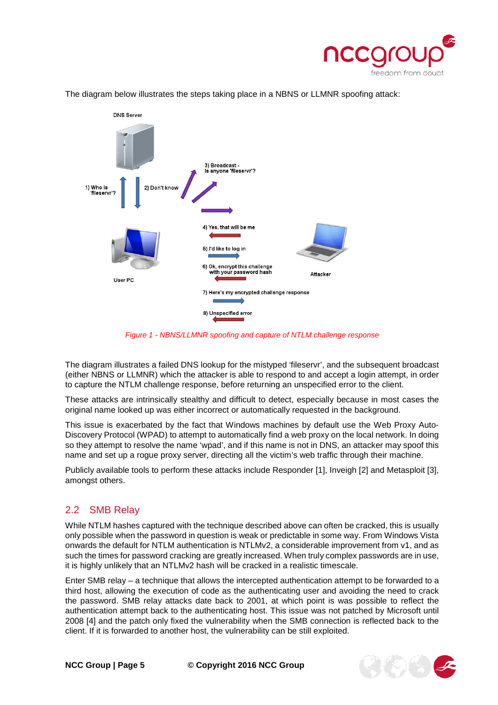



The diagram below illustrates the steps taking place in a NBNS or LLMNR spoofing attack:

*Figure 1 - NBNS/LLMNR spoofing and capture of NTLM challenge response*

The diagram illustrates a failed DNS lookup for the mistyped 'fileservr', and the subsequent broadcast (either NBNS or LLMNR) which the attacker is able to respond to and accept a login attempt, in order to capture the NTLM challenge response, before returning an unspecified error to the client.

These attacks are intrinsically stealthy and difficult to detect, especially because in most cases the original name looked up was either incorrect or automatically requested in the background.

This issue is exacerbated by the fact that Windows machines by default use the Web Proxy Auto-Discovery Protocol (WPAD) to attempt to automatically find a web proxy on the local network. In doing so they attempt to resolve the name 'wpad', and if this name is not in DNS, an attacker may spoof this name and set up a rogue proxy server, directing all the victim's web traffic through their machine.

Publicly available tools to perform these attacks include Responder [1], Inveigh [2] and Metasploit [3], amongst others.

#### <span id="page-4-0"></span>2.2 SMB Relay

While NTLM hashes captured with the technique described above can often be cracked, this is usually only possible when the password in question is weak or predictable in some way. From Windows Vista onwards the default for NTLM authentication is NTLMv2, a considerable improvement from v1, and as such the times for password cracking are greatly increased. When truly complex passwords are in use, it is highly unlikely that an NTLMv2 hash will be cracked in a realistic timescale.

Enter SMB relay – a technique that allows the intercepted authentication attempt to be forwarded to a third host, allowing the execution of code as the authenticating user and avoiding the need to crack the password. SMB relay attacks date back to 2001, at which point is was possible to reflect the authentication attempt back to the authenticating host. This issue was not patched by Microsoft until 2008 [4] and the patch only fixed the vulnerability when the SMB connection is reflected back to the client. If it is forwarded to another host, the vulnerability can be still exploited.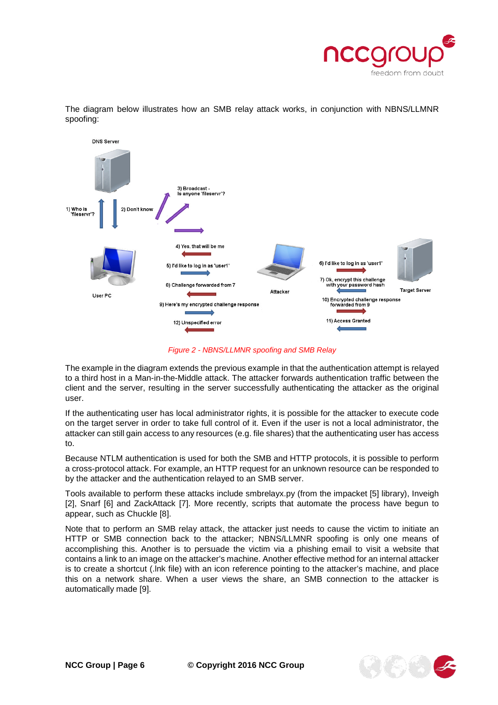

The diagram below illustrates how an SMB relay attack works, in conjunction with NBNS/LLMNR spoofing:



*Figure 2 - NBNS/LLMNR spoofing and SMB Relay*

The example in the diagram extends the previous example in that the authentication attempt is relayed to a third host in a Man-in-the-Middle attack. The attacker forwards authentication traffic between the client and the server, resulting in the server successfully authenticating the attacker as the original user.

If the authenticating user has local administrator rights, it is possible for the attacker to execute code on the target server in order to take full control of it. Even if the user is not a local administrator, the attacker can still gain access to any resources (e.g. file shares) that the authenticating user has access to.

Because NTLM authentication is used for both the SMB and HTTP protocols, it is possible to perform a cross-protocol attack. For example, an HTTP request for an unknown resource can be responded to by the attacker and the authentication relayed to an SMB server.

Tools available to perform these attacks include smbrelayx.py (from the impacket [5] library), Inveigh [2], Snarf [6] and ZackAttack [7]. More recently, scripts that automate the process have begun to appear, such as Chuckle [8].

Note that to perform an SMB relay attack, the attacker just needs to cause the victim to initiate an HTTP or SMB connection back to the attacker; NBNS/LLMNR spoofing is only one means of accomplishing this. Another is to persuade the victim via a phishing email to visit a website that contains a link to an image on the attacker's machine. Another effective method for an internal attacker is to create a shortcut (.lnk file) with an icon reference pointing to the attacker's machine, and place this on a network share. When a user views the share, an SMB connection to the attacker is automatically made [9].

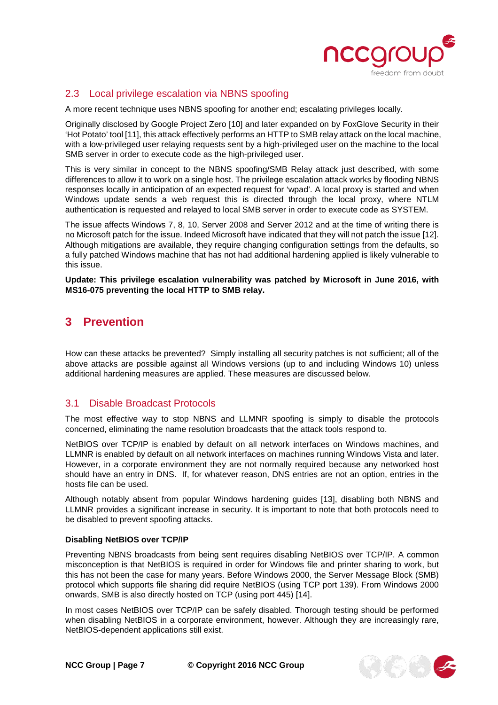

#### <span id="page-6-0"></span>2.3 Local privilege escalation via NBNS spoofing

A more recent technique uses NBNS spoofing for another end; escalating privileges locally.

Originally disclosed by Google Project Zero [10] and later expanded on by FoxGlove Security in their 'Hot Potato' tool [11], this attack effectively performs an HTTP to SMB relay attack on the local machine, with a low-privileged user relaying requests sent by a high-privileged user on the machine to the local SMB server in order to execute code as the high-privileged user.

This is very similar in concept to the NBNS spoofing/SMB Relay attack just described, with some differences to allow it to work on a single host. The privilege escalation attack works by flooding NBNS responses locally in anticipation of an expected request for 'wpad'. A local proxy is started and when Windows update sends a web request this is directed through the local proxy, where NTLM authentication is requested and relayed to local SMB server in order to execute code as SYSTEM.

The issue affects Windows 7, 8, 10, Server 2008 and Server 2012 and at the time of writing there is no Microsoft patch for the issue. Indeed Microsoft have indicated that they will not patch the issue [12]. Although mitigations are available, they require changing configuration settings from the defaults, so a fully patched Windows machine that has not had additional hardening applied is likely vulnerable to this issue.

**Update: This privilege escalation vulnerability was patched by Microsoft in June 2016, with MS16-075 preventing the local HTTP to SMB relay.**

## <span id="page-6-1"></span>**3 Prevention**

How can these attacks be prevented? Simply installing all security patches is not sufficient; all of the above attacks are possible against all Windows versions (up to and including Windows 10) unless additional hardening measures are applied. These measures are discussed below.

#### <span id="page-6-2"></span>3.1 Disable Broadcast Protocols

The most effective way to stop NBNS and LLMNR spoofing is simply to disable the protocols concerned, eliminating the name resolution broadcasts that the attack tools respond to.

NetBIOS over TCP/IP is enabled by default on all network interfaces on Windows machines, and LLMNR is enabled by default on all network interfaces on machines running Windows Vista and later. However, in a corporate environment they are not normally required because any networked host should have an entry in DNS. If, for whatever reason, DNS entries are not an option, entries in the hosts file can be used.

Although notably absent from popular Windows hardening guides [13], disabling both NBNS and LLMNR provides a significant increase in security. It is important to note that both protocols need to be disabled to prevent spoofing attacks.

#### **Disabling NetBIOS over TCP/IP**

Preventing NBNS broadcasts from being sent requires disabling NetBIOS over TCP/IP. A common misconception is that NetBIOS is required in order for Windows file and printer sharing to work, but this has not been the case for many years. Before Windows 2000, the Server Message Block (SMB) protocol which supports file sharing did require NetBIOS (using TCP port 139). From Windows 2000 onwards, SMB is also directly hosted on TCP (using port 445) [14].

In most cases NetBIOS over TCP/IP can be safely disabled. Thorough testing should be performed when disabling NetBIOS in a corporate environment, however. Although they are increasingly rare, NetBIOS-dependent applications still exist.

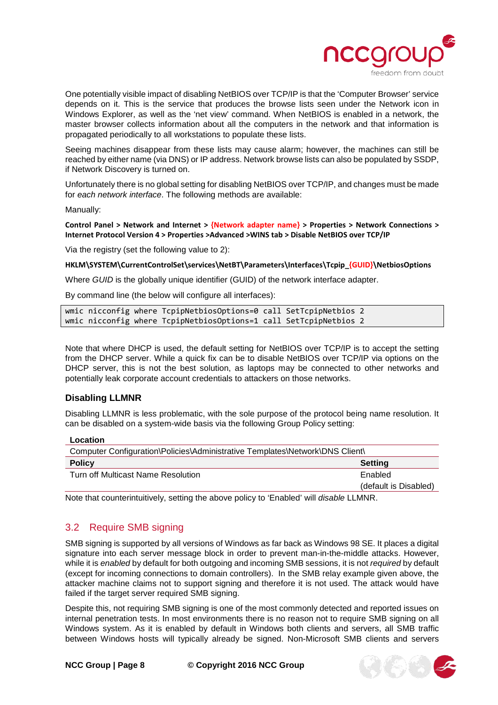

One potentially visible impact of disabling NetBIOS over TCP/IP is that the 'Computer Browser' service depends on it. This is the service that produces the browse lists seen under the Network icon in Windows Explorer, as well as the 'net view' command. When NetBIOS is enabled in a network, the master browser collects information about all the computers in the network and that information is propagated periodically to all workstations to populate these lists.

Seeing machines disappear from these lists may cause alarm; however, the machines can still be reached by either name (via DNS) or IP address. Network browse lists can also be populated by SSDP, if Network Discovery is turned on.

Unfortunately there is no global setting for disabling NetBIOS over TCP/IP, and changes must be made for *each network interface*. The following methods are available:

Manually:

**Control Panel > Network and Internet > {Network adapter name} > Properties > Network Connections > Internet Protocol Version 4 > Properties >Advanced >WINS tab > Disable NetBIOS over TCP/IP**

Via the registry (set the following value to 2):

**HKLM\SYSTEM\CurrentControlSet\services\NetBT\Parameters\Interfaces\Tcpip\_{GUID}\NetbiosOptions** 

Where *GUID* is the globally unique identifier (GUID) of the network interface adapter.

By command line (the below will configure all interfaces):

wmic nicconfig where TcpipNetbiosOptions=0 call SetTcpipNetbios 2 wmic nicconfig where TcpipNetbiosOptions=1 call SetTcpipNetbios 2

Note that where DHCP is used, the default setting for NetBIOS over TCP/IP is to accept the setting from the DHCP server. While a quick fix can be to disable NetBIOS over TCP/IP via options on the DHCP server, this is not the best solution, as laptops may be connected to other networks and potentially leak corporate account credentials to attackers on those networks.

#### **Disabling LLMNR**

Disabling LLMNR is less problematic, with the sole purpose of the protocol being name resolution. It can be disabled on a system-wide basis via the following Group Policy setting:

**Location**

| Computer Configuration\Policies\Administrative Templates\Network\DNS Client\ |                       |  |  |  |
|------------------------------------------------------------------------------|-----------------------|--|--|--|
| <b>Policy</b>                                                                | <b>Setting</b>        |  |  |  |
| Turn off Multicast Name Resolution                                           | Enabled               |  |  |  |
|                                                                              | (default is Disabled) |  |  |  |

Note that counterintuitively, setting the above policy to 'Enabled' will *disable* LLMNR.

#### <span id="page-7-0"></span>3.2 Require SMB signing

SMB signing is supported by all versions of Windows as far back as Windows 98 SE. It places a digital signature into each server message block in order to prevent man-in-the-middle attacks. However, while it is *enabled* by default for both outgoing and incoming SMB sessions, it is not *required* by default (except for incoming connections to domain controllers). In the SMB relay example given above, the attacker machine claims not to support signing and therefore it is not used. The attack would have failed if the target server required SMB signing.

Despite this, not requiring SMB signing is one of the most commonly detected and reported issues on internal penetration tests. In most environments there is no reason not to require SMB signing on all Windows system. As it is enabled by default in Windows both clients and servers, all SMB traffic between Windows hosts will typically already be signed. Non-Microsoft SMB clients and servers

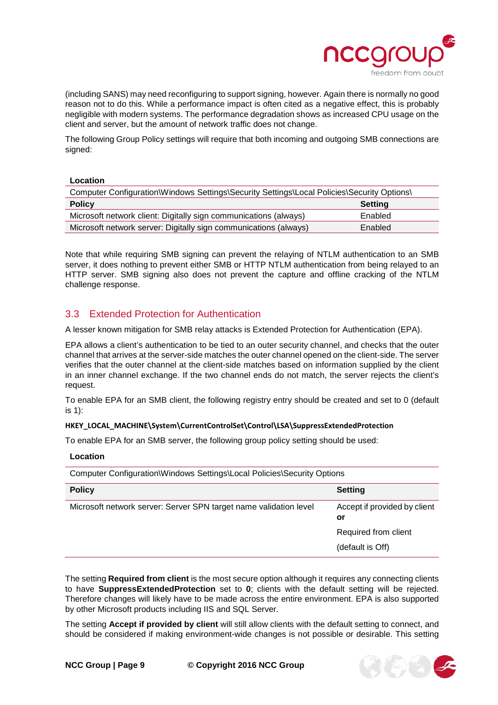

(including SANS) may need reconfiguring to support signing, however. Again there is normally no good reason not to do this. While a performance impact is often cited as a negative effect, this is probably negligible with modern systems. The performance degradation shows as increased CPU usage on the client and server, but the amount of network traffic does not change.

The following Group Policy settings will require that both incoming and outgoing SMB connections are signed:

#### **Location**

| Computer Configuration\Windows Settings\Security Settings\Local Policies\Security Options\ |                |  |  |  |
|--------------------------------------------------------------------------------------------|----------------|--|--|--|
| <b>Policy</b>                                                                              | <b>Setting</b> |  |  |  |
| Microsoft network client: Digitally sign communications (always)                           | Enabled        |  |  |  |
| Microsoft network server: Digitally sign communications (always)                           | Enabled        |  |  |  |

Note that while requiring SMB signing can prevent the relaying of NTLM authentication to an SMB server, it does nothing to prevent either SMB or HTTP NTLM authentication from being relayed to an HTTP server. SMB signing also does not prevent the capture and offline cracking of the NTLM challenge response.

#### <span id="page-8-0"></span>3.3 Extended Protection for Authentication

A lesser known mitigation for SMB relay attacks is Extended Protection for Authentication (EPA).

EPA allows a client's authentication to be tied to an outer security channel, and checks that the outer channel that arrives at the server-side matches the outer channel opened on the client-side. The server verifies that the outer channel at the client-side matches based on information supplied by the client in an inner channel exchange. If the two channel ends do not match, the server rejects the client's request.

To enable EPA for an SMB client, the following registry entry should be created and set to 0 (default is 1):

#### **HKEY\_LOCAL\_MACHINE\System\CurrentControlSet\Control\LSA\SuppressExtendedProtection**

To enable EPA for an SMB server, the following group policy setting should be used:

#### **Location**

| Computer Configuration\Windows Settings\Local Policies\Security Options |                                    |  |  |  |  |
|-------------------------------------------------------------------------|------------------------------------|--|--|--|--|
| <b>Policy</b>                                                           | <b>Setting</b>                     |  |  |  |  |
| Microsoft network server: Server SPN target name validation level       | Accept if provided by client<br>or |  |  |  |  |
|                                                                         | Required from client               |  |  |  |  |
|                                                                         | (default is Off)                   |  |  |  |  |

The setting **Required from client** is the most secure option although it requires any connecting clients to have **SuppressExtendedProtection** set to **0**; clients with the default setting will be rejected. Therefore changes will likely have to be made across the entire environment. EPA is also supported by other Microsoft products including IIS and SQL Server.

The setting **Accept if provided by client** will still allow clients with the default setting to connect, and should be considered if making environment-wide changes is not possible or desirable. This setting

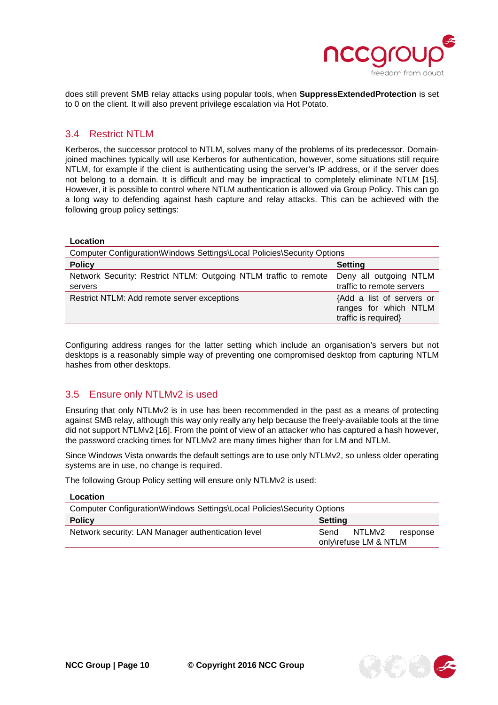

does still prevent SMB relay attacks using popular tools, when **SuppressExtendedProtection** is set to 0 on the client. It will also prevent privilege escalation via Hot Potato.

#### <span id="page-9-0"></span>3.4 Restrict NTLM

Kerberos, the successor protocol to NTLM, solves many of the problems of its predecessor. Domainjoined machines typically will use Kerberos for authentication, however, some situations still require NTLM, for example if the client is authenticating using the server's IP address, or if the server does not belong to a domain. It is difficult and may be impractical to completely eliminate NTLM [15]. However, it is possible to control where NTLM authentication is allowed via Group Policy. This can go a long way to defending against hash capture and relay attacks. This can be achieved with the following group policy settings:

### **Location**

| Computer Configuration\Windows Settings\Local Policies\Security Options |                                                                            |  |  |  |  |
|-------------------------------------------------------------------------|----------------------------------------------------------------------------|--|--|--|--|
| <b>Policy</b>                                                           | <b>Setting</b>                                                             |  |  |  |  |
| Network Security: Restrict NTLM: Outgoing NTLM traffic to remote        | Deny all outgoing NTLM                                                     |  |  |  |  |
| servers                                                                 | traffic to remote servers                                                  |  |  |  |  |
| Restrict NTLM: Add remote server exceptions                             | {Add a list of servers or<br>ranges for which NTLM<br>traffic is required} |  |  |  |  |

Configuring address ranges for the latter setting which include an organisation's servers but not desktops is a reasonably simple way of preventing one compromised desktop from capturing NTLM hashes from other desktops.

#### <span id="page-9-1"></span>3.5 Ensure only NTLMv2 is used

Ensuring that only NTLMv2 is in use has been recommended in the past as a means of protecting against SMB relay, although this way only really any help because the freely-available tools at the time did not support NTLMv2 [16]. From the point of view of an attacker who has captured a hash however, the password cracking times for NTLMv2 are many times higher than for LM and NTLM.

Since Windows Vista onwards the default settings are to use only NTLMv2, so unless older operating systems are in use, no change is required.

The following Group Policy setting will ensure only NTLMv2 is used:

<span id="page-9-2"></span>

| Location                                                                |                       |        |          |  |
|-------------------------------------------------------------------------|-----------------------|--------|----------|--|
| Computer Configuration\Windows Settings\Local Policies\Security Options |                       |        |          |  |
| <b>Policy</b><br><b>Setting</b>                                         |                       |        |          |  |
| Network security: LAN Manager authentication level                      | Send                  | NTLMv2 | response |  |
|                                                                         | only\refuse LM & NTLM |        |          |  |

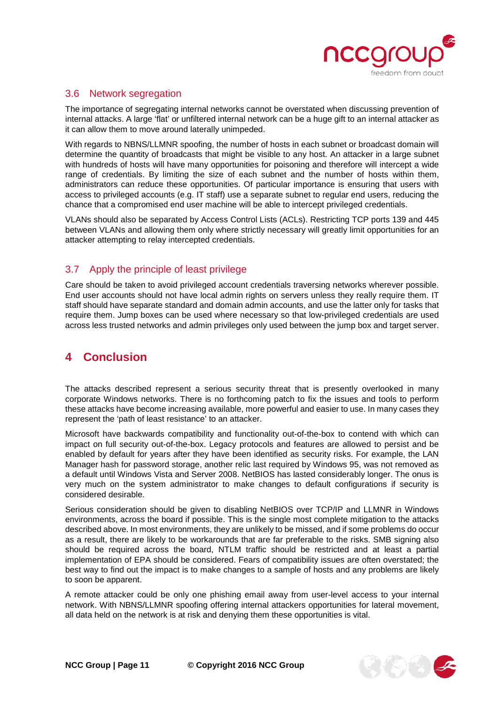

#### 3.6 Network segregation

The importance of segregating internal networks cannot be overstated when discussing prevention of internal attacks. A large 'flat' or unfiltered internal network can be a huge gift to an internal attacker as it can allow them to move around laterally unimpeded.

With regards to NBNS/LLMNR spoofing, the number of hosts in each subnet or broadcast domain will determine the quantity of broadcasts that might be visible to any host. An attacker in a large subnet with hundreds of hosts will have many opportunities for poisoning and therefore will intercept a wide range of credentials. By limiting the size of each subnet and the number of hosts within them, administrators can reduce these opportunities. Of particular importance is ensuring that users with access to privileged accounts (e.g. IT staff) use a separate subnet to regular end users, reducing the chance that a compromised end user machine will be able to intercept privileged credentials.

VLANs should also be separated by Access Control Lists (ACLs). Restricting TCP ports 139 and 445 between VLANs and allowing them only where strictly necessary will greatly limit opportunities for an attacker attempting to relay intercepted credentials.

#### <span id="page-10-0"></span>3.7 Apply the principle of least privilege

Care should be taken to avoid privileged account credentials traversing networks wherever possible. End user accounts should not have local admin rights on servers unless they really require them. IT staff should have separate standard and domain admin accounts, and use the latter only for tasks that require them. Jump boxes can be used where necessary so that low-privileged credentials are used across less trusted networks and admin privileges only used between the jump box and target server.

## <span id="page-10-1"></span>**4 Conclusion**

The attacks described represent a serious security threat that is presently overlooked in many corporate Windows networks. There is no forthcoming patch to fix the issues and tools to perform these attacks have become increasing available, more powerful and easier to use. In many cases they represent the 'path of least resistance' to an attacker.

Microsoft have backwards compatibility and functionality out-of-the-box to contend with which can impact on full security out-of-the-box. Legacy protocols and features are allowed to persist and be enabled by default for years after they have been identified as security risks. For example, the LAN Manager hash for password storage, another relic last required by Windows 95, was not removed as a default until Windows Vista and Server 2008. NetBIOS has lasted considerably longer. The onus is very much on the system administrator to make changes to default configurations if security is considered desirable.

Serious consideration should be given to disabling NetBIOS over TCP/IP and LLMNR in Windows environments, across the board if possible. This is the single most complete mitigation to the attacks described above. In most environments, they are unlikely to be missed, and if some problems do occur as a result, there are likely to be workarounds that are far preferable to the risks. SMB signing also should be required across the board, NTLM traffic should be restricted and at least a partial implementation of EPA should be considered. Fears of compatibility issues are often overstated; the best way to find out the impact is to make changes to a sample of hosts and any problems are likely to soon be apparent.

A remote attacker could be only one phishing email away from user-level access to your internal network. With NBNS/LLMNR spoofing offering internal attackers opportunities for lateral movement, all data held on the network is at risk and denying them these opportunities is vital.

**NCC Group | Page 11 © Copyright 2016 NCC Group**